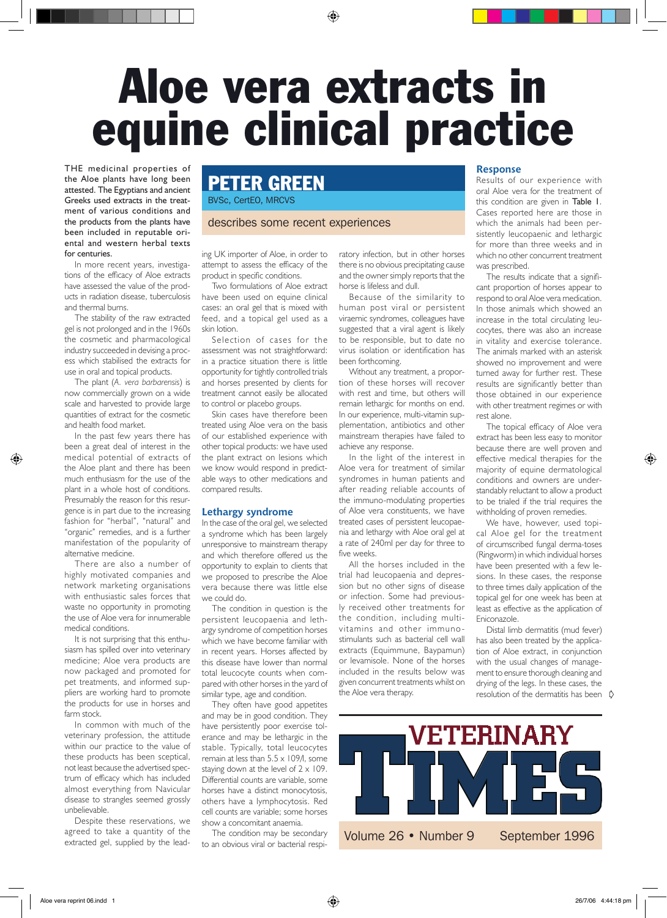# Aloe vera extracts in equine clinical practice

THE medicinal properties of the Aloe plants have long been attested. The Egyptians and ancient Greeks used extracts in the treatment of various conditions and the products from the plants have been included in reputable oriental and western herbal texts for centuries.

In more recent years, investigations of the efficacy of Aloe extracts have assessed the value of the products in radiation disease, tuberculosis and thermal burns.

The stability of the raw extracted gel is not prolonged and in the 1960s the cosmetic and pharmacological industry succeeded in devising a process which stabilised the extracts for use in oral and topical products.

The plant (*A. vera barbarensis*) is now commercially grown on a wide scale and harvested to provide large quantities of extract for the cosmetic and health food market.

In the past few years there has been a great deal of interest in the medical potential of extracts of the Aloe plant and there has been much enthusiasm for the use of the plant in a whole host of conditions. Presumably the reason for this resurgence is in part due to the increasing fashion for "herbal", "natural" and "organic" remedies, and is a further manifestation of the popularity of alternative medicine.

There are also a number of highly motivated companies and network marketing organisations with enthusiastic sales forces that waste no opportunity in promoting the use of Aloe vera for innumerable medical conditions.

It is not surprising that this enthusiasm has spilled over into veterinary medicine; Aloe vera products are now packaged and promoted for pet treatments, and informed suppliers are working hard to promote the products for use in horses and farm stock

In common with much of the veterinary profession, the attitude within our practice to the value of these products has been sceptical, not least because the advertised spectrum of efficacy which has included almost everything from Navicular disease to strangles seemed grossly unbelievable.

Despite these reservations, we agreed to take a quantity of the extracted gel, supplied by the lead-

# Peter Green

BVSc, CertEO, MRCVS

## describes some recent experiences

ing UK importer of Aloe, in order to attempt to assess the efficacy of the product in specific conditions.

Two formulations of Aloe extract have been used on equine clinical cases: an oral gel that is mixed with feed, and a topical gel used as a skin lotion.

Selection of cases for the assessment was not straightforward: in a practice situation there is little opportunity for tightly controlled trials and horses presented by clients for treatment cannot easily be allocated to control or placebo groups.

Skin cases have therefore been treated using Aloe vera on the basis of our established experience with other topical products: we have used the plant extract on lesions which we know would respond in predictable ways to other medications and compared results.

#### **Lethargy syndrome**

In the case of the oral gel, we selected a syndrome which has been largely unresponsive to mainstream therapy and which therefore offered us the opportunity to explain to clients that we proposed to prescribe the Aloe vera because there was little else we could do.

The condition in question is the persistent leucopaenia and lethargy syndrome of competition horses which we have become familiar with in recent years. Horses affected by this disease have lower than normal total leucocyte counts when compared with other horses in the yard of similar type, age and condition.

They often have good appetites and may be in good condition. They have persistently poor exercise tolerance and may be lethargic in the stable. Typically, total leucocytes remain at less than  $5.5 \times 109$ /l, some staying down at the level of  $2 \times 109$ . Differential counts are variable, some horses have a distinct monocytosis, others have a lymphocytosis. Red cell counts are variable; some horses show a concomitant anaemia.

The condition may be secondary to an obvious viral or bacterial respiratory infection, but in other horses there is no obvious precipitating cause and the owner simply reports that the horse is lifeless and dull.

Because of the similarity to human post viral or persistent viraemic syndromes, colleagues have suggested that a viral agent is likely to be responsible, but to date no virus isolation or identification has been forthcoming.

Without any treatment, a proportion of these horses will recover with rest and time, but others will remain lethargic for months on end. In our experience, multi-vitamin supplementation, antibiotics and other mainstream therapies have failed to achieve any response.

In the light of the interest in Aloe vera for treatment of similar syndromes in human patients and after reading reliable accounts of the immuno-modulating properties of Aloe vera constituents, we have treated cases of persistent leucopaenia and lethargy with Aloe oral gel at a rate of 240ml per day for three to five weeks.

All the horses included in the trial had leucopaenia and depression but no other signs of disease or infection. Some had previously received other treatments for the condition, including multivitamins and other immunostimulants such as bacterial cell wall extracts (Equimmune, Baypamun) or levamisole. None of the horses included in the results below was given concurrent treatments whilst on the Aloe vera therapy.

## **Response**

Results of our experience with oral Aloe vera for the treatment of this condition are given in Table 1. Cases reported here are those in which the animals had been persistently leucopaenic and lethargic for more than three weeks and in which no other concurrent treatment was prescribed.

The results indicate that a significant proportion of horses appear to respond to oral Aloe vera medication. In those animals which showed an increase in the total circulating leucocytes, there was also an increase in vitality and exercise tolerance. The animals marked with an asterisk showed no improvement and were turned away for further rest. These results are significantly better than those obtained in our experience with other treatment regimes or with rest alone.

The topical efficacy of Aloe vera extract has been less easy to monitor because there are well proven and effective medical therapies for the majority of equine dermatological conditions and owners are understandably reluctant to allow a product to be trialed if the trial requires the withholding of proven remedies.

We have, however, used topical Aloe gel for the treatment of circumscribed fungal derma-toses (Ringworm) in which individual horses have been presented with a few lesions. In these cases, the response to three times daily application of the topical gel for one week has been at least as effective as the application of Eniconazole.

resolution of the dermatitis has been  $\phi$ Distal limb dermatitis (mud fever) has also been treated by the application of Aloe extract, in conjunction with the usual changes of management to ensure thorough cleaning and drying of the legs. In these cases, the